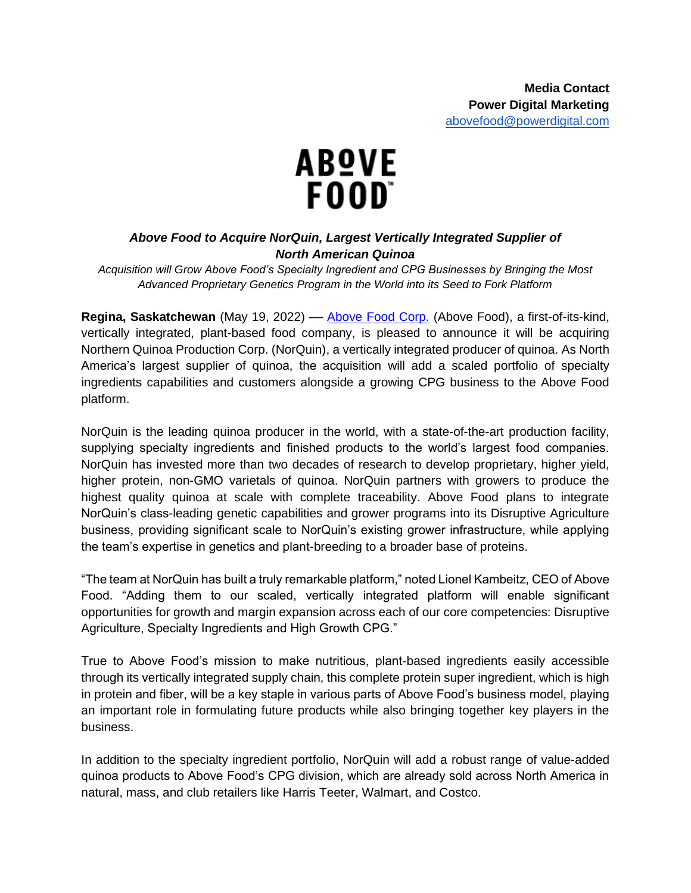

## *Above Food to Acquire NorQuin, Largest Vertically Integrated Supplier of North American Quinoa*

*Acquisition will Grow Above Food's Specialty Ingredient and CPG Businesses by Bringing the Most Advanced Proprietary Genetics Program in the World into its Seed to Fork Platform*

**Regina, Saskatchewan** (May 19, 2022) –[–](https://abovefood.ca/) [Above Food Corp.](https://abovefood.ca/) (Above Food), a first-of-its-kind, vertically integrated, plant-based food company, is pleased to announce it will be acquiring Northern Quinoa Production Corp. (NorQuin), a vertically integrated producer of quinoa. As North America's largest supplier of quinoa, the acquisition will add a scaled portfolio of specialty ingredients capabilities and customers alongside a growing CPG business to the Above Food platform.

NorQuin is the leading quinoa producer in the world, with a state-of-the-art production facility, supplying specialty ingredients and finished products to the world's largest food companies. NorQuin has invested more than two decades of research to develop proprietary, higher yield, higher protein, non-GMO varietals of quinoa. NorQuin partners with growers to produce the highest quality quinoa at scale with complete traceability. Above Food plans to integrate NorQuin's class-leading genetic capabilities and grower programs into its Disruptive Agriculture business, providing significant scale to NorQuin's existing grower infrastructure, while applying the team's expertise in genetics and plant-breeding to a broader base of proteins.

"The team at NorQuin has built a truly remarkable platform," noted Lionel Kambeitz, CEO of Above Food. "Adding them to our scaled, vertically integrated platform will enable significant opportunities for growth and margin expansion across each of our core competencies: Disruptive Agriculture, Specialty Ingredients and High Growth CPG."

True to Above Food's mission to make nutritious, plant-based ingredients easily accessible through its vertically integrated supply chain, this complete protein super ingredient, which is high in protein and fiber, will be a key staple in various parts of Above Food's business model, playing an important role in formulating future products while also bringing together key players in the business.

In addition to the specialty ingredient portfolio, NorQuin will add a robust range of value-added quinoa products to Above Food's CPG division, which are already sold across North America in natural, mass, and club retailers like Harris Teeter, Walmart, and Costco.